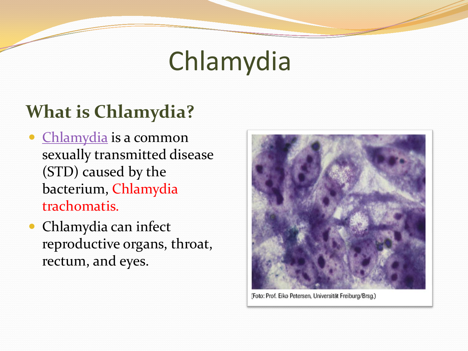# Chlamydia

#### **What is Chlamydia?**

- Chlamydia is a common sexually transmitted disease (STD) caused by the bacterium, Chlamydia trachomatis.
- Chlamydia can infect reproductive organs, throat, rectum, and eyes.



(Foto: Prof. Eiko Petersen, Universität Freiburg/Brsg.)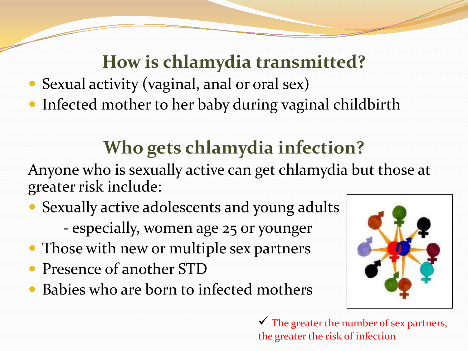#### **How is chlamydia transmitted?**

- Sexual activity (vaginal, anal or oral sex)
- Infected mother to her baby during vaginal childbirth

### **Who gets chlamydia infection?**

Anyone who is sexually active can get chlamydia but those at greater risk include:

- Sexually active adolescents and young adults - especially, women age 25 or younger
- Those with new or multiple sex partners
- Presence of another STD
- Babies who are born to infected mothers



 $\checkmark$  The greater the number of sex partners, the greater the risk of infection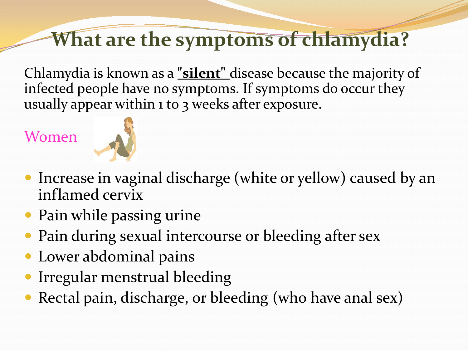### **What are the symptoms of chlamydia?**

Chlamydia is known as a **"silent"** disease because the majority of infected people have no symptoms. If symptoms do occur they usually appear within 1 to 3 weeks after exposure.

Women



- Increase in vaginal discharge (white or yellow) caused by an inflamed cervix
- Pain while passing urine
- Pain during sexual intercourse or bleeding after sex
- Lower abdominal pains
- Irregular menstrual bleeding
- Rectal pain, discharge, or bleeding (who have anal sex)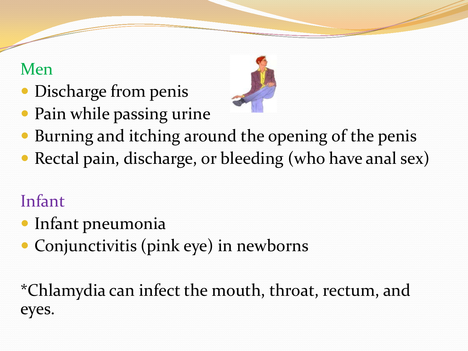#### Men

- Discharge from penis
- Pain while passing urine



- Burning and itching around the opening of the penis
- Rectal pain, discharge, or bleeding (who have anal sex)

### Infant

- Infant pneumonia
- Conjunctivitis (pink eye) in newborns

\*Chlamydia can infect the mouth, throat, rectum, and eyes.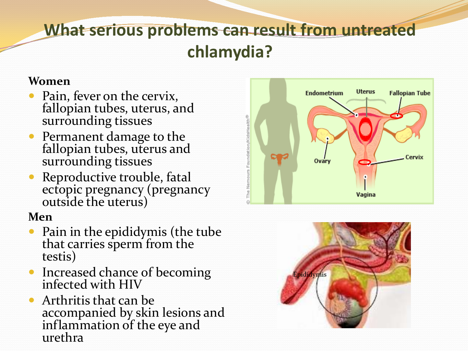#### What serious problems can result from untreated **chlamydia?**

#### **Women**

- Pain, fever on the cervix, fallopian tubes, uterus, and surrounding tissues
- Permanent damage to the fallopian tubes, uterus and surrounding tissues
- Reproductive trouble, fatal ectopic pregnancy (pregnancy outside the uterus)

#### **Men**

- Pain in the epididymis (the tube that carries sperm from the testis)
- Increased chance of becoming infected with HIV
- Arthritis that can be accompanied by skin lesions and inflammation of the eye and urethra



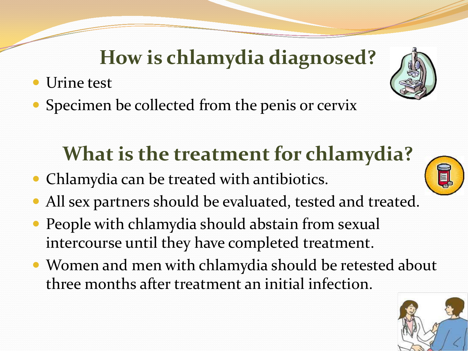## **How is chlamydia diagnosed?**

- Urine test
- Specimen be collected from the penis or cervix

# **What is the treatment for chlamydia?**

- Chlamydia can be treated with antibiotics.
- All sex partners should be evaluated, tested and treated.
- People with chlamydia should abstain from sexual intercourse until they have completed treatment.
- Women and men with chlamydia should be retested about three months after treatment an initial infection.